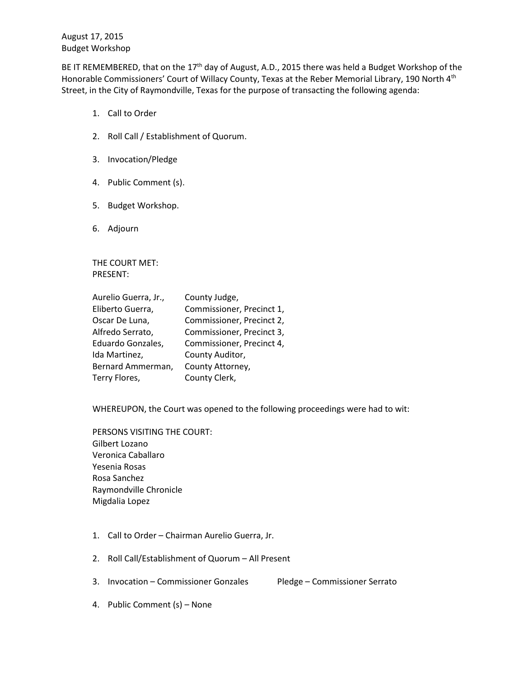August 17, 2015 Budget Workshop

BE IT REMEMBERED, that on the 17<sup>th</sup> day of August, A.D., 2015 there was held a Budget Workshop of the Honorable Commissioners' Court of Willacy County, Texas at the Reber Memorial Library, 190 North 4<sup>th</sup> Street, in the City of Raymondville, Texas for the purpose of transacting the following agenda:

- 1. Call to Order
- 2. Roll Call / Establishment of Quorum.
- 3. Invocation/Pledge
- 4. Public Comment (s).
- 5. Budget Workshop.
- 6. Adjourn

THE COURT MET: PRESENT:

| Aurelio Guerra, Jr., | County Judge,             |
|----------------------|---------------------------|
| Eliberto Guerra,     | Commissioner, Precinct 1, |
| Oscar De Luna,       | Commissioner, Precinct 2, |
| Alfredo Serrato,     | Commissioner, Precinct 3, |
| Eduardo Gonzales,    | Commissioner, Precinct 4, |
| Ida Martinez,        | County Auditor,           |
| Bernard Ammerman,    | County Attorney,          |
| Terry Flores,        | County Clerk,             |

WHEREUPON, the Court was opened to the following proceedings were had to wit:

PERSONS VISITING THE COURT: Gilbert Lozano Veronica Caballaro Yesenia Rosas Rosa Sanchez Raymondville Chronicle Migdalia Lopez

- 1. Call to Order Chairman Aurelio Guerra, Jr.
- 2. Roll Call/Establishment of Quorum All Present
- 3. Invocation Commissioner Gonzales Pledge Commissioner Serrato
- 4. Public Comment (s) None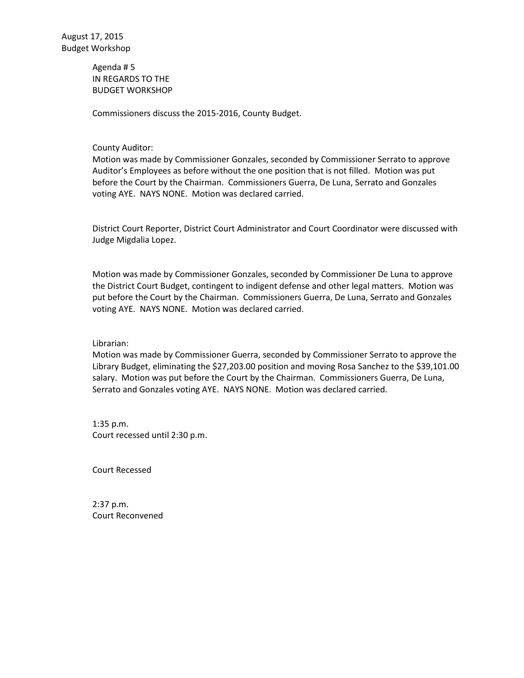Agenda # 5 IN REGARDS TO THE BUDGET WORKSHOP

Commissioners discuss the 2015-2016, County Budget.

## County Auditor:

Motion was made by Commissioner Gonzales, seconded by Commissioner Serrato to approve Auditor's Employees as before without the one position that is not filled. Motion was put before the Court by the Chairman. Commissioners Guerra, De Luna, Serrato and Gonzales voting AYE. NAYS NONE. Motion was declared carried.

District Court Reporter, District Court Administrator and Court Coordinator were discussed with Judge Migdalia Lopez.

Motion was made by Commissioner Gonzales, seconded by Commissioner De Luna to approve the District Court Budget, contingent to indigent defense and other legal matters. Motion was put before the Court by the Chairman. Commissioners Guerra, De Luna, Serrato and Gonzales voting AYE. NAYS NONE. Motion was declared carried.

Librarian:

Motion was made by Commissioner Guerra, seconded by Commissioner Serrato to approve the Library Budget, eliminating the \$27,203.00 position and moving Rosa Sanchez to the \$39,101.00 salary. Motion was put before the Court by the Chairman. Commissioners Guerra, De Luna, Serrato and Gonzales voting AYE. NAYS NONE. Motion was declared carried.

1:35 p.m. Court recessed until 2:30 p.m.

Court Recessed

2:37 p.m. Court Reconvened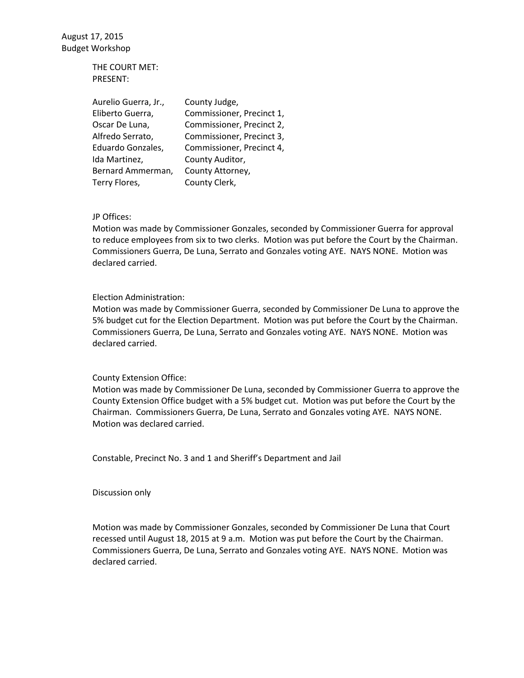August 17, 2015 Budget Workshop

> THE COURT MET: PRESENT:

| Aurelio Guerra, Jr., | County Judge,             |
|----------------------|---------------------------|
| Eliberto Guerra,     | Commissioner, Precinct 1, |
| Oscar De Luna,       | Commissioner, Precinct 2, |
| Alfredo Serrato,     | Commissioner, Precinct 3, |
| Eduardo Gonzales,    | Commissioner, Precinct 4, |
| Ida Martinez,        | County Auditor,           |
| Bernard Ammerman,    | County Attorney,          |
| Terry Flores,        | County Clerk,             |

JP Offices:

Motion was made by Commissioner Gonzales, seconded by Commissioner Guerra for approval to reduce employees from six to two clerks. Motion was put before the Court by the Chairman. Commissioners Guerra, De Luna, Serrato and Gonzales voting AYE. NAYS NONE. Motion was declared carried.

## Election Administration:

Motion was made by Commissioner Guerra, seconded by Commissioner De Luna to approve the 5% budget cut for the Election Department. Motion was put before the Court by the Chairman. Commissioners Guerra, De Luna, Serrato and Gonzales voting AYE. NAYS NONE. Motion was declared carried.

## County Extension Office:

Motion was made by Commissioner De Luna, seconded by Commissioner Guerra to approve the County Extension Office budget with a 5% budget cut. Motion was put before the Court by the Chairman. Commissioners Guerra, De Luna, Serrato and Gonzales voting AYE. NAYS NONE. Motion was declared carried.

Constable, Precinct No. 3 and 1 and Sheriff's Department and Jail

Discussion only

Motion was made by Commissioner Gonzales, seconded by Commissioner De Luna that Court recessed until August 18, 2015 at 9 a.m. Motion was put before the Court by the Chairman. Commissioners Guerra, De Luna, Serrato and Gonzales voting AYE. NAYS NONE. Motion was declared carried.